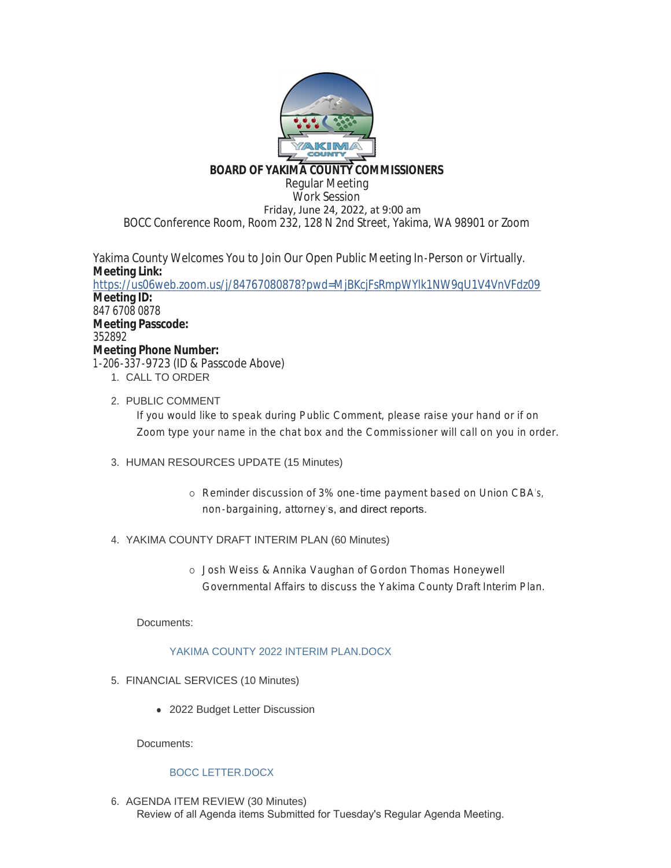

### **BOARD OF YAKIMA COUNTY COMMISSIONERS**

Regular Meeting Work Session Friday, June 24, 2022, at 9:00 am BOCC Conference Room, Room 232, 128 N 2nd Street, Yakima, WA 98901 or Zoom

Yakima County Welcomes You to Join Our Open Public Meeting In-Person or Virtually. **Meeting Link:** <https://us06web.zoom.us/j/84767080878?pwd=MjBKcjFsRmpWYlk1NW9qU1V4VnVFdz09> **Meeting ID:** 847 6708 0878 **Meeting Passcode:** 352892 **Meeting Phone Number:** 1-206-337-9723 (ID & Passcode Above) 1. CALL TO ORDER

2. PUBLIC COMMENT

If you would like to speak during Public Comment, please raise your hand or if on Zoom type your name in the chat box and the Commissioner will call on you in order.

- 3. HUMAN RESOURCES UPDATE (15 Minutes)
	- o Reminder discussion of 3% one-time payment based on Union CBA's, non-bargaining, attorney's, and direct reports.
- YAKIMA COUNTY DRAFT INTERIM PLAN (60 Minutes) 4.
	- ¡ Josh Weiss & Annika Vaughan of Gordon Thomas Honeywell Governmental Affairs to discuss the Yakima County Draft Interim Plan.

Documents:

### YAKIMA COUNTY 2022 INTERIM PLAN.DOCX

- FINANCIAL SERVICES (10 Minutes) 5.
	- 2022 Budget Letter Discussion

Documents:

### BOCC LETTER.DOCX

6. AGENDA ITEM REVIEW (30 Minutes) Review of all Agenda items Submitted for Tuesday's Regular Agenda Meeting.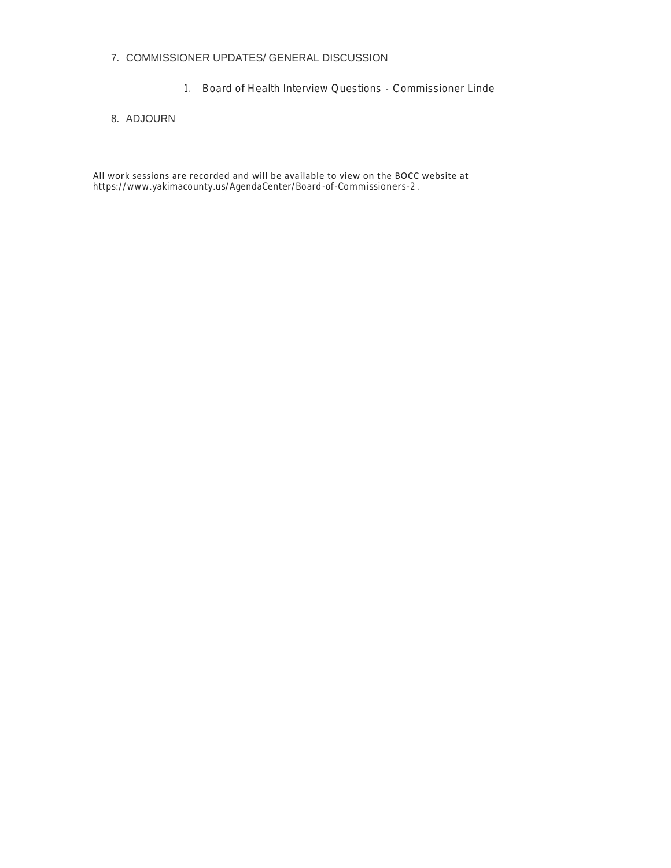#### 7. COMMISSIONER UPDATES/ GENERAL DISCUSSION

1. Board of Health Interview Questions - Commissioner Linde

#### 8. ADJOURN

All work sessions are recorded and will be available to view on the BOCC website at https://www.yakimacounty.us/AgendaCenter/Board-of-Commissioners-2 .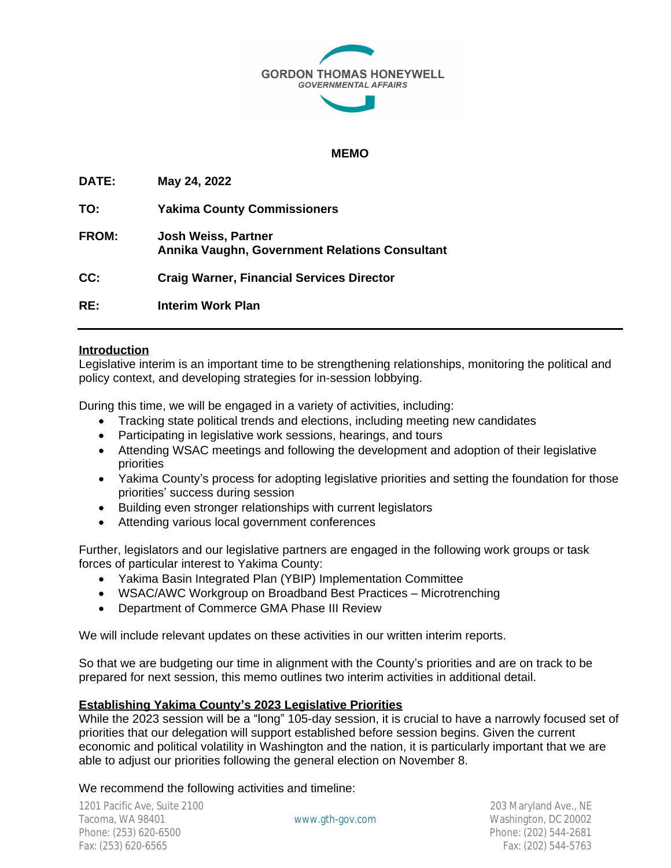

### **MEMO**

| DATE:        | May 24, 2022                                                                 |
|--------------|------------------------------------------------------------------------------|
| TO:          | <b>Yakima County Commissioners</b>                                           |
| <b>FROM:</b> | <b>Josh Weiss, Partner</b><br>Annika Vaughn, Government Relations Consultant |
| CC:          | <b>Craig Warner, Financial Services Director</b>                             |
| RE:          | Interim Work Plan                                                            |

### **Introduction**

Legislative interim is an important time to be strengthening relationships, monitoring the political and policy context, and developing strategies for in-session lobbying.

During this time, we will be engaged in a variety of activities, including:

- Tracking state political trends and elections, including meeting new candidates
- Participating in legislative work sessions, hearings, and tours
- Attending WSAC meetings and following the development and adoption of their legislative **priorities**
- Yakima County's process for adopting legislative priorities and setting the foundation for those priorities' success during session
- Building even stronger relationships with current legislators
- Attending various local government conferences

Further, legislators and our legislative partners are engaged in the following work groups or task forces of particular interest to Yakima County:

- Yakima Basin Integrated Plan (YBIP) Implementation Committee
- WSAC/AWC Workgroup on Broadband Best Practices Microtrenching
- Department of Commerce GMA Phase III Review

We will include relevant updates on these activities in our written interim reports.

So that we are budgeting our time in alignment with the County's priorities and are on track to be prepared for next session, this memo outlines two interim activities in additional detail.

### **Establishing Yakima County's 2023 Legislative Priorities**

While the 2023 session will be a "long" 105-day session, it is crucial to have a narrowly focused set of priorities that our delegation will support established before session begins. Given the current economic and political volatility in Washington and the nation, it is particularly important that we are able to adjust our priorities following the general election on November 8.

We recommend the following activities and timeline: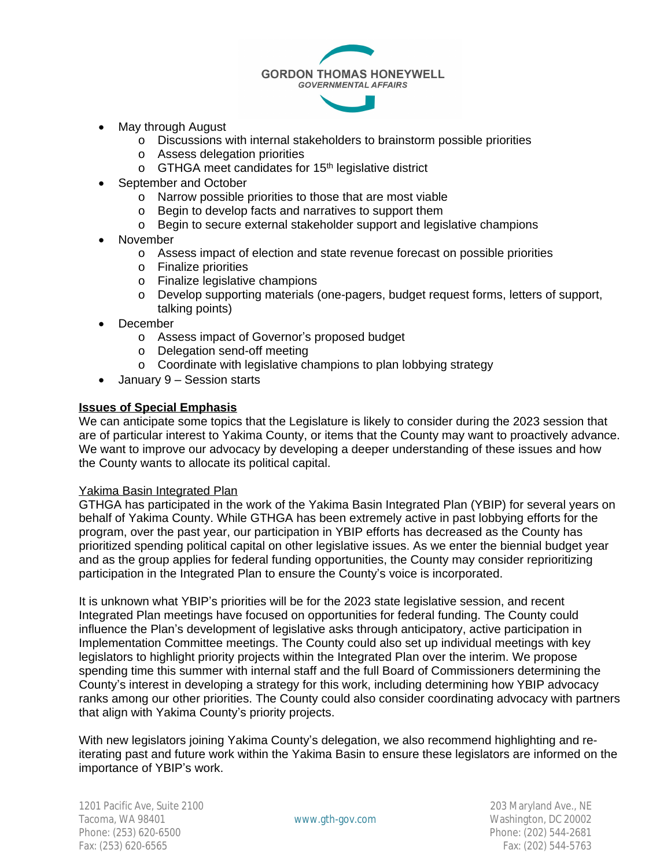

- May through August
	- o Discussions with internal stakeholders to brainstorm possible priorities
	- o Assess delegation priorities
	- $\circ$  GTHGA meet candidates for 15<sup>th</sup> legislative district
- September and October
	- o Narrow possible priorities to those that are most viable
	- o Begin to develop facts and narratives to support them
	- o Begin to secure external stakeholder support and legislative champions
- November
	- o Assess impact of election and state revenue forecast on possible priorities
	- o Finalize priorities
	- o Finalize legislative champions
	- o Develop supporting materials (one-pagers, budget request forms, letters of support, talking points)
- December
	- o Assess impact of Governor's proposed budget
	- o Delegation send-off meeting
	- o Coordinate with legislative champions to plan lobbying strategy
- January 9 Session starts

### **Issues of Special Emphasis**

We can anticipate some topics that the Legislature is likely to consider during the 2023 session that are of particular interest to Yakima County, or items that the County may want to proactively advance. We want to improve our advocacy by developing a deeper understanding of these issues and how the County wants to allocate its political capital.

### Yakima Basin Integrated Plan

GTHGA has participated in the work of the Yakima Basin Integrated Plan (YBIP) for several years on behalf of Yakima County. While GTHGA has been extremely active in past lobbying efforts for the program, over the past year, our participation in YBIP efforts has decreased as the County has prioritized spending political capital on other legislative issues. As we enter the biennial budget year and as the group applies for federal funding opportunities, the County may consider reprioritizing participation in the Integrated Plan to ensure the County's voice is incorporated.

It is unknown what YBIP's priorities will be for the 2023 state legislative session, and recent Integrated Plan meetings have focused on opportunities for federal funding. The County could influence the Plan's development of legislative asks through anticipatory, active participation in Implementation Committee meetings. The County could also set up individual meetings with key legislators to highlight priority projects within the Integrated Plan over the interim. We propose spending time this summer with internal staff and the full Board of Commissioners determining the County's interest in developing a strategy for this work, including determining how YBIP advocacy ranks among our other priorities. The County could also consider coordinating advocacy with partners that align with Yakima County's priority projects.

With new legislators joining Yakima County's delegation, we also recommend highlighting and reiterating past and future work within the Yakima Basin to ensure these legislators are informed on the importance of YBIP's work.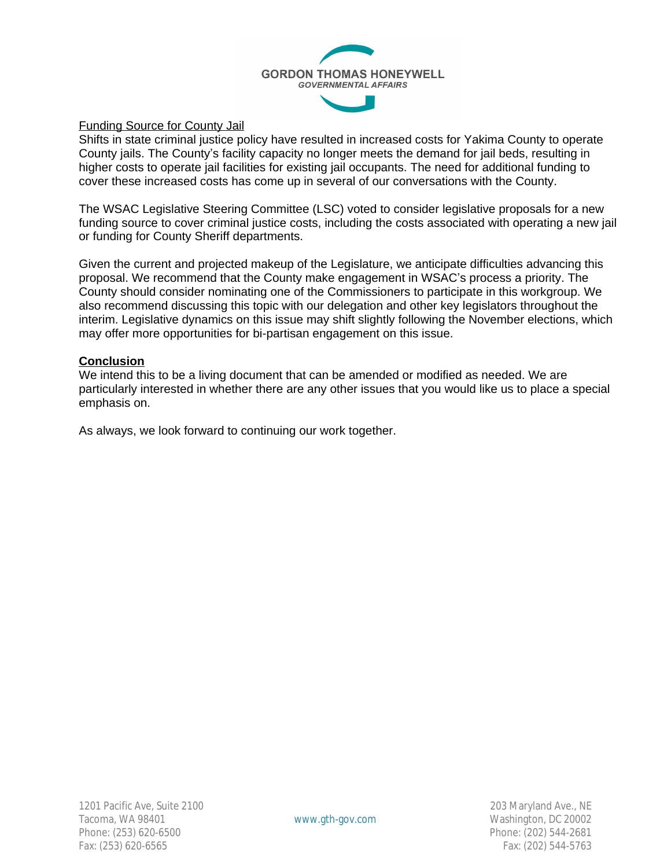

## Funding Source for County Jail

Shifts in state criminal justice policy have resulted in increased costs for Yakima County to operate County jails. The County's facility capacity no longer meets the demand for jail beds, resulting in higher costs to operate jail facilities for existing jail occupants. The need for additional funding to cover these increased costs has come up in several of our conversations with the County.

The WSAC Legislative Steering Committee (LSC) voted to consider legislative proposals for a new funding source to cover criminal justice costs, including the costs associated with operating a new jail or funding for County Sheriff departments.

Given the current and projected makeup of the Legislature, we anticipate difficulties advancing this proposal. We recommend that the County make engagement in WSAC's process a priority. The County should consider nominating one of the Commissioners to participate in this workgroup. We also recommend discussing this topic with our delegation and other key legislators throughout the interim. Legislative dynamics on this issue may shift slightly following the November elections, which may offer more opportunities for bi-partisan engagement on this issue.

### **Conclusion**

We intend this to be a living document that can be amended or modified as needed. We are particularly interested in whether there are any other issues that you would like us to place a special emphasis on.

As always, we look forward to continuing our work together.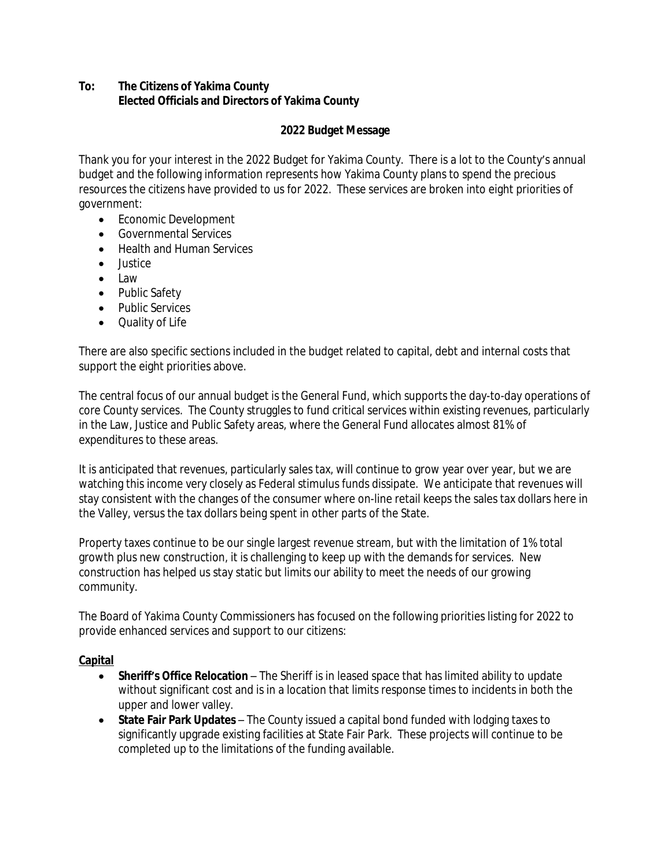# **To: The Citizens of Yakima County Elected Officials and Directors of Yakima County**

# **2022 Budget Message**

Thank you for your interest in the 2022 Budget for Yakima County. There is a lot to the County's annual budget and the following information represents how Yakima County plans to spend the precious resources the citizens have provided to us for 2022. These services are broken into eight priorities of government:

- Economic Development
- Governmental Services
- Health and Human Services
- $\bullet$  lustice
- $\bullet$  Law
- Public Safety
- Public Services
- Quality of Life

There are also specific sections included in the budget related to capital, debt and internal costs that support the eight priorities above.

The central focus of our annual budget is the General Fund, which supports the day-to-day operations of core County services. The County struggles to fund critical services within existing revenues, particularly in the Law, Justice and Public Safety areas, where the General Fund allocates almost 81% of expenditures to these areas.

It is anticipated that revenues, particularly sales tax, will continue to grow year over year, but we are watching this income very closely as Federal stimulus funds dissipate. We anticipate that revenues will stay consistent with the changes of the consumer where on-line retail keeps the sales tax dollars here in the Valley, versus the tax dollars being spent in other parts of the State.

Property taxes continue to be our single largest revenue stream, but with the limitation of 1% total growth plus new construction, it is challenging to keep up with the demands for services. New construction has helped us stay static but limits our ability to meet the needs of our growing community.

The Board of Yakima County Commissioners has focused on the following priorities listing for 2022 to provide enhanced services and support to our citizens:

# **Capital**

- **Sheriff's Office Relocation** The Sheriff is in leased space that has limited ability to update without significant cost and is in a location that limits response times to incidents in both the upper and lower valley.
- **State Fair Park Updates** The County issued a capital bond funded with lodging taxes to significantly upgrade existing facilities at State Fair Park. These projects will continue to be completed up to the limitations of the funding available.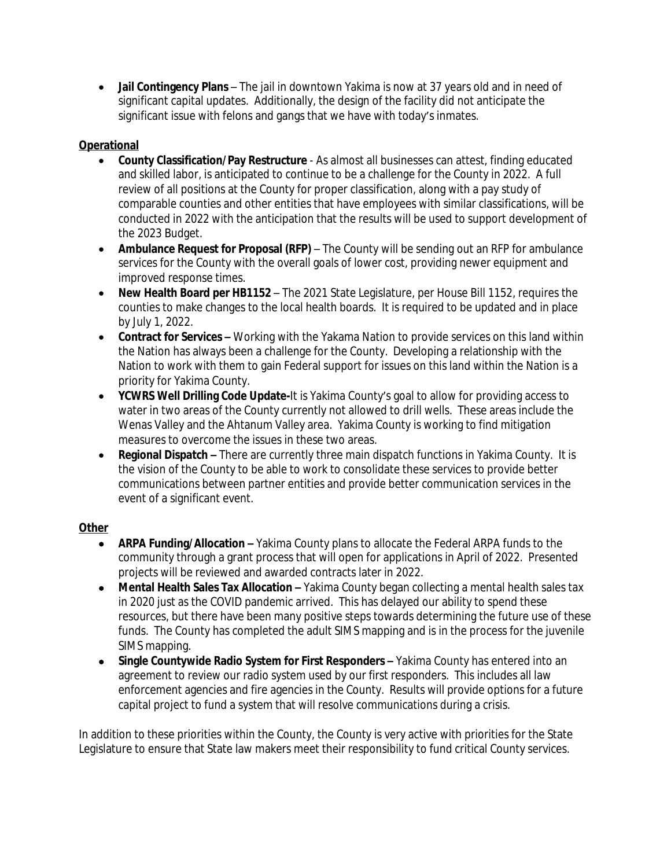**Jail Contingency Plans** – The jail in downtown Yakima is now at 37 years old and in need of significant capital updates. Additionally, the design of the facility did not anticipate the significant issue with felons and gangs that we have with today's inmates.

# **Operational**

- **County Classification/Pay Restructure** As almost all businesses can attest, finding educated and skilled labor, is anticipated to continue to be a challenge for the County in 2022. A full review of all positions at the County for proper classification, along with a pay study of comparable counties and other entities that have employees with similar classifications, will be conducted in 2022 with the anticipation that the results will be used to support development of the 2023 Budget.
- **Ambulance Request for Proposal (RFP)** The County will be sending out an RFP for ambulance services for the County with the overall goals of lower cost, providing newer equipment and improved response times.
- **New Health Board per HB1152**  The 2021 State Legislature, per House Bill 1152, requires the counties to make changes to the local health boards. It is required to be updated and in place by July 1, 2022.
- **Contract for Services –** Working with the Yakama Nation to provide services on this land within the Nation has always been a challenge for the County. Developing a relationship with the Nation to work with them to gain Federal support for issues on this land within the Nation is a priority for Yakima County.
- **YCWRS Well Drilling Code Update-**It is Yakima County's goal to allow for providing access to water in two areas of the County currently not allowed to drill wells. These areas include the Wenas Valley and the Ahtanum Valley area. Yakima County is working to find mitigation measures to overcome the issues in these two areas.
- **Regional Dispatch –** There are currently three main dispatch functions in Yakima County. It is the vision of the County to be able to work to consolidate these services to provide better communications between partner entities and provide better communication services in the event of a significant event.

## **Other**

- **ARPA Funding/Allocation** Yakima County plans to allocate the Federal ARPA funds to the community through a grant process that will open for applications in April of 2022. Presented projects will be reviewed and awarded contracts later in 2022.
- **Mental Health Sales Tax Allocation –** Yakima County began collecting a mental health sales tax in 2020 just as the COVID pandemic arrived. This has delayed our ability to spend these resources, but there have been many positive steps towards determining the future use of these funds. The County has completed the adult SIMS mapping and is in the process for the juvenile SIMS mapping.
- **Single Countywide Radio System for First Responders –** Yakima County has entered into an agreement to review our radio system used by our first responders. This includes all law enforcement agencies and fire agencies in the County. Results will provide options for a future capital project to fund a system that will resolve communications during a crisis.

In addition to these priorities within the County, the County is very active with priorities for the State Legislature to ensure that State law makers meet their responsibility to fund critical County services.